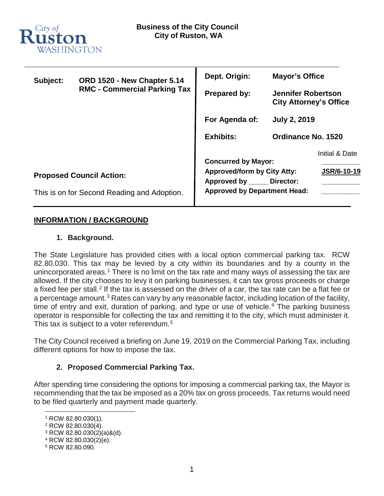

| Subject:                        | ORD 1520 - New Chapter 5.14<br><b>RMC - Commercial Parking Tax</b> | Dept. Origin:                                               | <b>Mayor's Office</b>                                      |                    |
|---------------------------------|--------------------------------------------------------------------|-------------------------------------------------------------|------------------------------------------------------------|--------------------|
|                                 |                                                                    | <b>Prepared by:</b>                                         | <b>Jennifer Robertson</b><br><b>City Attorney's Office</b> |                    |
|                                 |                                                                    | For Agenda of:                                              | <b>July 2, 2019</b>                                        |                    |
|                                 |                                                                    | <b>Exhibits:</b>                                            | Ordinance No. 1520                                         |                    |
|                                 |                                                                    | <b>Concurred by Mayor:</b>                                  |                                                            | Initial & Date     |
| <b>Proposed Council Action:</b> |                                                                    | <b>Approved/form by City Atty:</b><br>Approved by Director: |                                                            | <b>JSR/6-10-19</b> |
|                                 | This is on for Second Reading and Adoption.                        | <b>Approved by Department Head:</b>                         |                                                            |                    |

# **INFORMATION / BACKGROUND**

# **1. Background.**

The State Legislature has provided cities with a local option commercial parking tax. RCW 82.80.030. This tax may be levied by a city within its boundaries and by a county in the unincorporated areas.<sup>[1](#page-0-0)</sup> There is no limit on the tax rate and many ways of assessing the tax are allowed. If the city chooses to levy it on parking businesses, it can tax gross proceeds or charge a fixed fee per stall.<sup>[2](#page-0-1)</sup> If the tax is assessed on the driver of a car, the tax rate can be a flat fee or a percentage amount.<sup>[3](#page-0-2)</sup> Rates can vary by any reasonable factor, including location of the facility, time of entry and exit, duration of parking, and type or use of vehicle.<sup>[4](#page-0-3)</sup> The parking business operator is responsible for collecting the tax and remitting it to the city, which must administer it. This tax is subject to a voter referendum.<sup>[5](#page-0-4)</sup>

The City Council received a briefing on June 19, 2019 on the Commercial Parking Tax, including different options for how to impose the tax.

# **2. Proposed Commercial Parking Tax.**

After spending time considering the options for imposing a commercial parking tax, the Mayor is recommending that the tax be imposed as a 20% tax on gross proceeds. Tax returns would need to be filed quarterly and payment made quarterly.

<span id="page-0-0"></span> <sup>1</sup> RCW 82.80.030(1).

<sup>2</sup> RCW 82.80.030(4).

<span id="page-0-2"></span><span id="page-0-1"></span><sup>3</sup> RCW 82.80.030(2)(a)&(d).

<span id="page-0-3"></span><sup>4</sup> RCW 82.80.030(2)(e).

<span id="page-0-4"></span><sup>5</sup> RCW 82.80.090.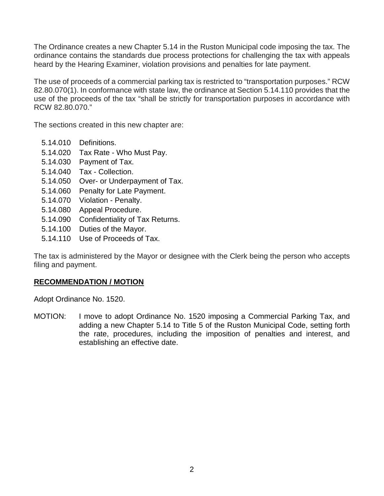The Ordinance creates a new Chapter 5.14 in the Ruston Municipal code imposing the tax. The ordinance contains the standards due process protections for challenging the tax with appeals heard by the Hearing Examiner, violation provisions and penalties for late payment.

The use of proceeds of a commercial parking tax is restricted to "transportation purposes." RCW 82.80.070(1). In conformance with state law, the ordinance at Section 5.14.110 provides that the use of the proceeds of the tax "shall be strictly for transportation purposes in accordance with RCW 82.80.070."

The sections created in this new chapter are:

- [5.14.010 Definitions.](http://www.codepublishing.com/WA/Bremerton/#!/Bremerton03/Bremerton0382.html#3.82.010)
- [5.14.020 Tax Rate -](http://www.codepublishing.com/WA/Bremerton/#!/Bremerton03/Bremerton0382.html#3.82.020) Who Must Pay.
- [5.14.030 Payment of Tax.](http://www.codepublishing.com/WA/Bremerton/#!/Bremerton03/Bremerton0382.html#3.82.030)
- [5.14.040 Tax -](http://www.codepublishing.com/WA/Bremerton/#!/Bremerton03/Bremerton0382.html#3.82.040) Collection.
- 5.14.050 Over- [or Underpayment of Tax.](http://www.codepublishing.com/WA/Bremerton/#!/Bremerton03/Bremerton0382.html#3.82.050)
- [5.14.060 Penalty for Late Payment.](http://www.codepublishing.com/WA/Bremerton/#!/Bremerton03/Bremerton0382.html#3.82.060)
- [5.14.070 Violation -](http://www.codepublishing.com/WA/Bremerton/#!/Bremerton03/Bremerton0382.html#3.82.070) Penalty.
- [5.14.080 Appeal Procedure.](http://www.codepublishing.com/WA/Bremerton/#!/Bremerton03/Bremerton0382.html#3.82.080)
- [5.14.090 Confidentiality of Tax Returns.](http://www.codepublishing.com/WA/Bremerton/#!/Bremerton03/Bremerton0382.html#3.82.090)
- [5.14.100 Duties of the Mayor.](http://www.codepublishing.com/WA/Bremerton/#!/Bremerton03/Bremerton0382.html#3.82.100)
- [5.14.110 Use of Proceeds of Tax.](http://www.codepublishing.com/WA/Bremerton/#!/Bremerton03/Bremerton0382.html#3.82.110)

The tax is administered by the Mayor or designee with the Clerk being the person who accepts filing and payment.

# **RECOMMENDATION / MOTION**

Adopt Ordinance No. 1520.

MOTION: I move to adopt Ordinance No. 1520 imposing a Commercial Parking Tax, and adding a new Chapter 5.14 to Title 5 of the Ruston Municipal Code, setting forth the rate, procedures, including the imposition of penalties and interest, and establishing an effective date.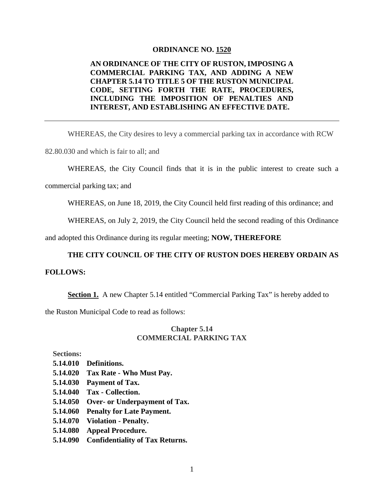#### **ORDINANCE NO. 1520**

### **AN ORDINANCE OF THE CITY OF RUSTON, IMPOSING A COMMERCIAL PARKING TAX, AND ADDING A NEW CHAPTER 5.14 TO TITLE 5 OF THE RUSTON MUNICIPAL CODE, SETTING FORTH THE RATE, PROCEDURES, INCLUDING THE IMPOSITION OF PENALTIES AND INTEREST, AND ESTABLISHING AN EFFECTIVE DATE.**

WHEREAS, the City desires to levy a commercial parking tax in accordance with RCW

82.80.030 and which is fair to all; and

WHEREAS, the City Council finds that it is in the public interest to create such a

commercial parking tax; and

WHEREAS, on June 18, 2019, the City Council held first reading of this ordinance; and

WHEREAS, on July 2, 2019, the City Council held the second reading of this Ordinance

and adopted this Ordinance during its regular meeting; **NOW, THEREFORE**

### **THE CITY COUNCIL OF THE CITY OF RUSTON DOES HEREBY ORDAIN AS**

#### **FOLLOWS:**

**Section 1.** A new Chapter 5.14 entitled "Commercial Parking Tax" is hereby added to

the Ruston Municipal Code to read as follows:

### **Chapter 5.14 COMMERCIAL PARKING TAX**

**Sections:**

- **[5.14.010 Definitions.](http://www.codepublishing.com/WA/Bremerton/#!/Bremerton03/Bremerton0382.html#3.82.010)**
- **[5.14.020 Tax Rate -](http://www.codepublishing.com/WA/Bremerton/#!/Bremerton03/Bremerton0382.html#3.82.020) Who Must Pay.**
- **[5.14.030 Payment of Tax.](http://www.codepublishing.com/WA/Bremerton/#!/Bremerton03/Bremerton0382.html#3.82.030)**
- **[5.14.040 Tax -](http://www.codepublishing.com/WA/Bremerton/#!/Bremerton03/Bremerton0382.html#3.82.040) Collection.**
- **5.14.050 Over- [or Underpayment of Tax.](http://www.codepublishing.com/WA/Bremerton/#!/Bremerton03/Bremerton0382.html#3.82.050)**
- **[5.14.060 Penalty for Late Payment.](http://www.codepublishing.com/WA/Bremerton/#!/Bremerton03/Bremerton0382.html#3.82.060)**
- **[5.14.070 Violation -](http://www.codepublishing.com/WA/Bremerton/#!/Bremerton03/Bremerton0382.html#3.82.070) Penalty.**
- **[5.14.080 Appeal Procedure.](http://www.codepublishing.com/WA/Bremerton/#!/Bremerton03/Bremerton0382.html#3.82.080)**
- **[5.14.090 Confidentiality of Tax Returns.](http://www.codepublishing.com/WA/Bremerton/#!/Bremerton03/Bremerton0382.html#3.82.090)**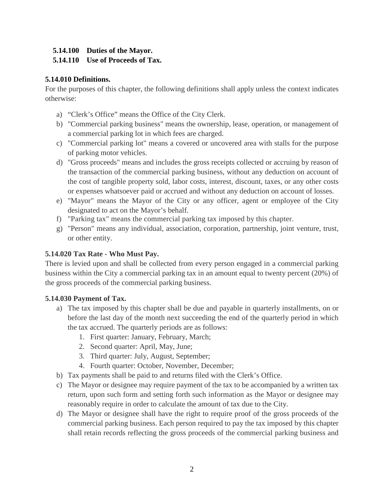# **[5.14.100 Duties of the Mayor.](http://www.codepublishing.com/WA/Bremerton/#!/Bremerton03/Bremerton0382.html#3.82.100)**

# **[5.14.110 Use of Proceeds of Tax.](http://www.codepublishing.com/WA/Bremerton/#!/Bremerton03/Bremerton0382.html#3.82.110)**

# **5.14.010 Definitions.**

For the purposes of this chapter, the following definitions shall apply unless the context indicates otherwise:

- a) "Clerk's Office" means the Office of the City Clerk.
- b) "Commercial parking business" means the ownership, lease, operation, or management of a commercial parking lot in which fees are charged.
- c) "Commercial parking lot" means a covered or uncovered area with stalls for the purpose of parking motor vehicles.
- d) "Gross proceeds" means and includes the gross receipts collected or accruing by reason of the transaction of the commercial parking business, without any deduction on account of the cost of tangible property sold, labor costs, interest, discount, taxes, or any other costs or expenses whatsoever paid or accrued and without any deduction on account of losses.
- e) "Mayor" means the Mayor of the City or any officer, agent or employee of the City designated to act on the Mayor's behalf.
- f) "Parking tax" means the commercial parking tax imposed by this chapter.
- g) "Person" means any individual, association, corporation, partnership, joint venture, trust, or other entity.

# **5.14.020 Tax Rate - Who Must Pay.**

There is levied upon and shall be collected from every person engaged in a commercial parking business within the City a commercial parking tax in an amount equal to twenty percent (20%) of the gross proceeds of the commercial parking business.

# **5.14.030 Payment of Tax.**

- a) The tax imposed by this chapter shall be due and payable in quarterly installments, on or before the last day of the month next succeeding the end of the quarterly period in which the tax accrued. The quarterly periods are as follows:
	- 1. First quarter: January, February, March;
	- 2. Second quarter: April, May, June;
	- 3. Third quarter: July, August, September;
	- 4. Fourth quarter: October, November, December;
- b) Tax payments shall be paid to and returns filed with the Clerk's Office.
- c) The Mayor or designee may require payment of the tax to be accompanied by a written tax return, upon such form and setting forth such information as the Mayor or designee may reasonably require in order to calculate the amount of tax due to the City.
- d) The Mayor or designee shall have the right to require proof of the gross proceeds of the commercial parking business. Each person required to pay the tax imposed by this chapter shall retain records reflecting the gross proceeds of the commercial parking business and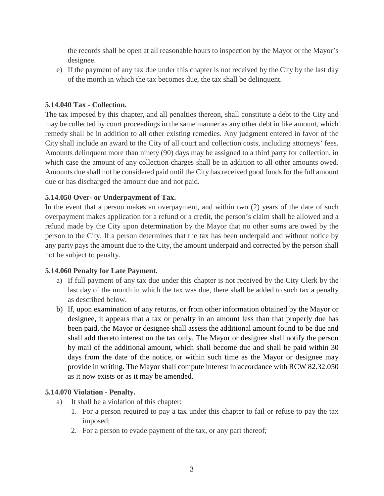the records shall be open at all reasonable hours to inspection by the Mayor or the Mayor's designee.

e) If the payment of any tax due under this chapter is not received by the City by the last day of the month in which the tax becomes due, the tax shall be delinquent.

# **5.14.040 Tax - Collection.**

The tax imposed by this chapter, and all penalties thereon, shall constitute a debt to the City and may be collected by court proceedings in the same manner as any other debt in like amount, which remedy shall be in addition to all other existing remedies. Any judgment entered in favor of the City shall include an award to the City of all court and collection costs, including attorneys' fees. Amounts delinquent more than ninety (90) days may be assigned to a third party for collection, in which case the amount of any collection charges shall be in addition to all other amounts owed. Amounts due shall not be considered paid until the City has received good funds for the full amount due or has discharged the amount due and not paid.

### **5.14.050 Over- or Underpayment of Tax.**

In the event that a person makes an overpayment, and within two (2) years of the date of such overpayment makes application for a refund or a credit, the person's claim shall be allowed and a refund made by the City upon determination by the Mayor that no other sums are owed by the person to the City. If a person determines that the tax has been underpaid and without notice by any party pays the amount due to the City, the amount underpaid and corrected by the person shall not be subject to penalty.

### **5.14.060 Penalty for Late Payment.**

- a) If full payment of any tax due under this chapter is not received by the City Clerk by the last day of the month in which the tax was due, there shall be added to such tax a penalty as described below.
- b) If, upon examination of any returns, or from other information obtained by the Mayor or designee, it appears that a tax or penalty in an amount less than that properly due has been paid, the Mayor or designee shall assess the additional amount found to be due and shall add thereto interest on the tax only. The Mayor or designee shall notify the person by mail of the additional amount, which shall become due and shall be paid within 30 days from the date of the notice, or within such time as the Mayor or designee may provide in writing. The Mayor shall compute interest in accordance with RCW 82.32.050 as it now exists or as it may be amended.

### **5.14.070 Violation - Penalty.**

- a) It shall be a violation of this chapter:
	- 1. For a person required to pay a tax under this chapter to fail or refuse to pay the tax imposed;
	- 2. For a person to evade payment of the tax, or any part thereof;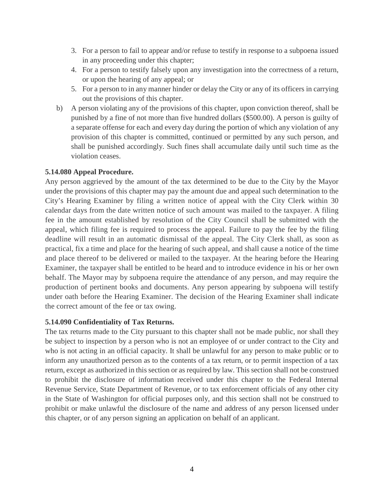- 3. For a person to fail to appear and/or refuse to testify in response to a subpoena issued in any proceeding under this chapter;
- 4. For a person to testify falsely upon any investigation into the correctness of a return, or upon the hearing of any appeal; or
- 5. For a person to in any manner hinder or delay the City or any of its officers in carrying out the provisions of this chapter.
- b) A person violating any of the provisions of this chapter, upon conviction thereof, shall be punished by a fine of not more than five hundred dollars (\$500.00). A person is guilty of a separate offense for each and every day during the portion of which any violation of any provision of this chapter is committed, continued or permitted by any such person, and shall be punished accordingly. Such fines shall accumulate daily until such time as the violation ceases.

# **5.14.080 Appeal Procedure.**

Any person aggrieved by the amount of the tax determined to be due to the City by the Mayor under the provisions of this chapter may pay the amount due and appeal such determination to the City's Hearing Examiner by filing a written notice of appeal with the City Clerk within 30 calendar days from the date written notice of such amount was mailed to the taxpayer. A filing fee in the amount established by resolution of the City Council shall be submitted with the appeal, which filing fee is required to process the appeal. Failure to pay the fee by the filing deadline will result in an automatic dismissal of the appeal. The City Clerk shall, as soon as practical, fix a time and place for the hearing of such appeal, and shall cause a notice of the time and place thereof to be delivered or mailed to the taxpayer. At the hearing before the Hearing Examiner, the taxpayer shall be entitled to be heard and to introduce evidence in his or her own behalf. The Mayor may by subpoena require the attendance of any person, and may require the production of pertinent books and documents. Any person appearing by subpoena will testify under oath before the Hearing Examiner. The decision of the Hearing Examiner shall indicate the correct amount of the fee or tax owing.

# **5.14.090 Confidentiality of Tax Returns.**

The tax returns made to the City pursuant to this chapter shall not be made public, nor shall they be subject to inspection by a person who is not an employee of or under contract to the City and who is not acting in an official capacity. It shall be unlawful for any person to make public or to inform any unauthorized person as to the contents of a tax return, or to permit inspection of a tax return, except as authorized in this section or as required by law. This section shall not be construed to prohibit the disclosure of information received under this chapter to the Federal Internal Revenue Service, State Department of Revenue, or to tax enforcement officials of any other city in the State of Washington for official purposes only, and this section shall not be construed to prohibit or make unlawful the disclosure of the name and address of any person licensed under this chapter, or of any person signing an application on behalf of an applicant.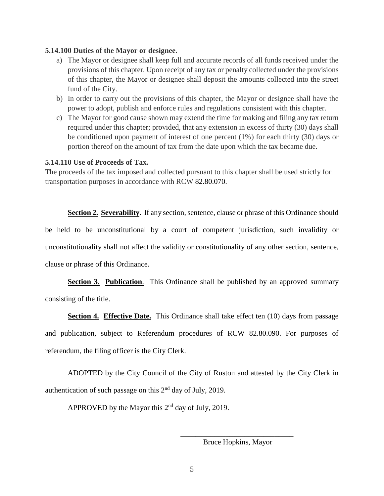#### **5.14.100 Duties of the Mayor or designee.**

- a) The Mayor or designee shall keep full and accurate records of all funds received under the provisions of this chapter. Upon receipt of any tax or penalty collected under the provisions of this chapter, the Mayor or designee shall deposit the amounts collected into the street fund of the City.
- b) In order to carry out the provisions of this chapter, the Mayor or designee shall have the power to adopt, publish and enforce rules and regulations consistent with this chapter.
- c) The Mayor for good cause shown may extend the time for making and filing any tax return required under this chapter; provided, that any extension in excess of thirty (30) days shall be conditioned upon payment of interest of one percent (1%) for each thirty (30) days or portion thereof on the amount of tax from the date upon which the tax became due.

### **5.14.110 Use of Proceeds of Tax.**

The proceeds of the tax imposed and collected pursuant to this chapter shall be used strictly for transportation purposes in accordance with RCW [82.80.070.](http://www.codepublishing.com/cgi-bin/rcw.pl?cite=82.80.070)

**Section 2. Severability.** If any section, sentence, clause or phrase of this Ordinance should be held to be unconstitutional by a court of competent jurisdiction, such invalidity or unconstitutionality shall not affect the validity or constitutionality of any other section, sentence, clause or phrase of this Ordinance.

**Section 3. Publication.** This Ordinance shall be published by an approved summary consisting of the title.

**Section 4. Effective Date.** This Ordinance shall take effect ten (10) days from passage and publication, subject to Referendum procedures of RCW 82.80.090. For purposes of referendum, the filing officer is the City Clerk.

ADOPTED by the City Council of the City of Ruston and attested by the City Clerk in authentication of such passage on this  $2<sup>nd</sup>$  day of July, 2019.

APPROVED by the Mayor this 2nd day of July, 2019.

\_\_\_\_\_\_\_\_\_\_\_\_\_\_\_\_\_\_\_\_\_\_\_\_\_\_\_\_\_\_ Bruce Hopkins, Mayor